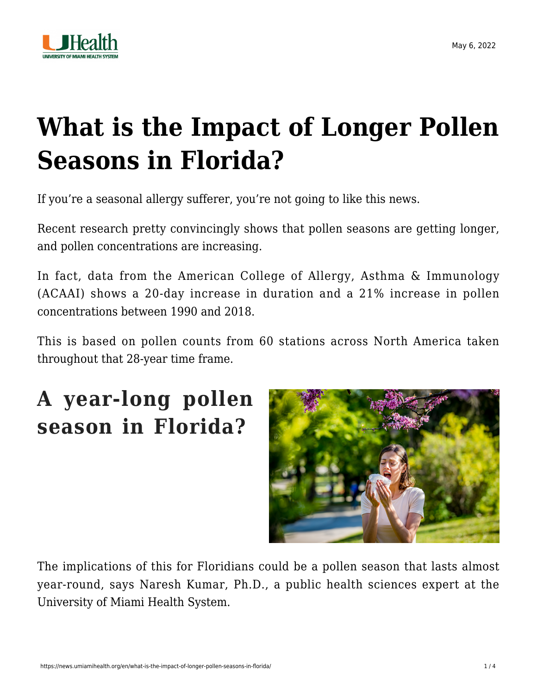

# **[What is the Impact of Longer Pollen](https://news.umiamihealth.org/en/what-is-the-impact-of-longer-pollen-seasons-in-florida/) [Seasons in Florida?](https://news.umiamihealth.org/en/what-is-the-impact-of-longer-pollen-seasons-in-florida/)**

If you're a seasonal allergy sufferer, you're not going to like this news.

Recent research pretty convincingly shows that pollen seasons are getting longer, and pollen concentrations are increasing.

In fact, data from the [American College of Allergy, Asthma & Immunology](https://acaai.org/news/does-more-pollen-mean-worse-allergy-symptoms-probably/) [\(ACAAI\)](https://acaai.org/news/does-more-pollen-mean-worse-allergy-symptoms-probably/) shows a 20-day increase in duration and a 21% increase in pollen concentrations between 1990 and 2018.

This is based on pollen counts from 60 stations across North America taken throughout that 28-year time frame.

### **A year-long pollen season in Florida?**



The implications of this for Floridians could be a pollen season that lasts almost year-round, says Naresh Kumar, Ph.D., a public health sciences expert at the University of Miami Health System.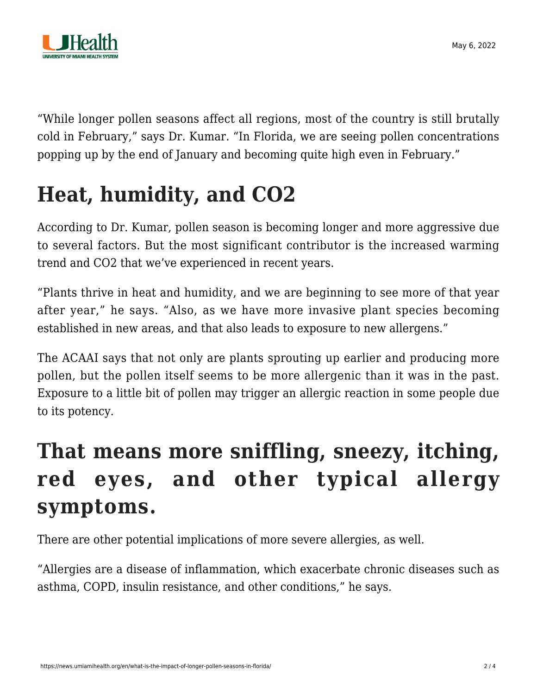

"While longer pollen seasons affect all regions, most of the country is still brutally cold in February," says Dr. Kumar. "In Florida, we are seeing pollen concentrations popping up by the end of January and becoming quite high even in February."

## **Heat, humidity, and CO2**

According to Dr. Kumar, pollen season is becoming longer and more aggressive due to several factors. But the most significant contributor is the increased warming trend and CO2 that we've experienced in recent years.

"Plants thrive in heat and humidity, and we are beginning to see more of that year after year," he says. "Also, as we have more invasive plant species becoming established in new areas, and that also leads to exposure to new allergens."

The ACAAI says that not only are plants sprouting up earlier and producing more pollen, but the pollen itself seems to be more allergenic than it was in the past. Exposure to a little bit of pollen may trigger an allergic reaction in some people due to its potency.

### **That means more sniffling, sneezy, itching, red eyes, and other typical allergy symptoms.**

There are other potential implications of more severe allergies, as well.

"Allergies are a disease of inflammation, which exacerbate chronic diseases such as asthma, COPD, insulin resistance, and other conditions," he says.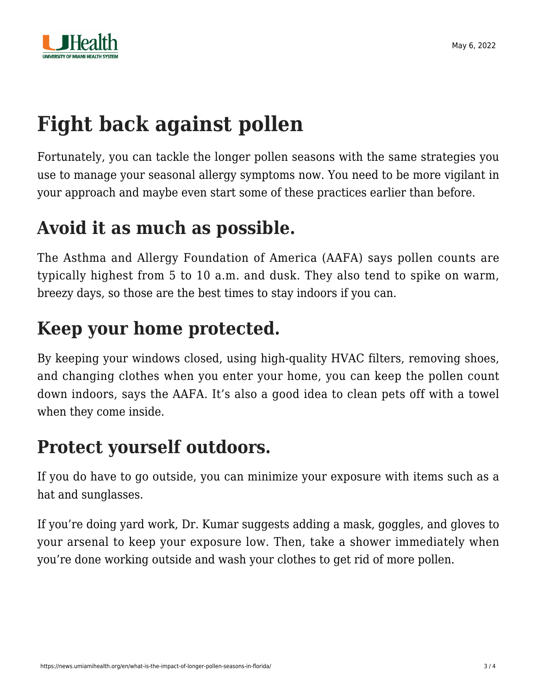

# **Fight back against pollen**

Fortunately, you can tackle the longer pollen seasons with the same strategies you use to manage your seasonal allergy symptoms now. You need to be more vigilant in your approach and maybe even start some of these practices earlier than before.

### **Avoid it as much as possible.**

The [Asthma and Allergy Foundation of America \(AAFA\)](https://community.aafa.org/blog/tips-for-coping-with-spring-allergies) says pollen counts are typically highest from 5 to 10 a.m. and dusk. They also tend to spike on warm, breezy days, so those are the best times to stay indoors if you can.

### **Keep your home protected.**

By keeping your windows closed, using high-quality HVAC filters, removing shoes, and changing clothes when you enter your home, you can keep the pollen count down indoors, says the AAFA. It's also a good idea to clean pets off with a towel when they come inside.

#### **Protect yourself outdoors.**

If you do have to go outside, you can minimize your exposure with items such as a hat and sunglasses.

If you're doing yard work, Dr. Kumar suggests adding a mask, goggles, and gloves to your arsenal to keep your exposure low. Then, take a shower immediately when you're done working outside and wash your clothes to get rid of more pollen.